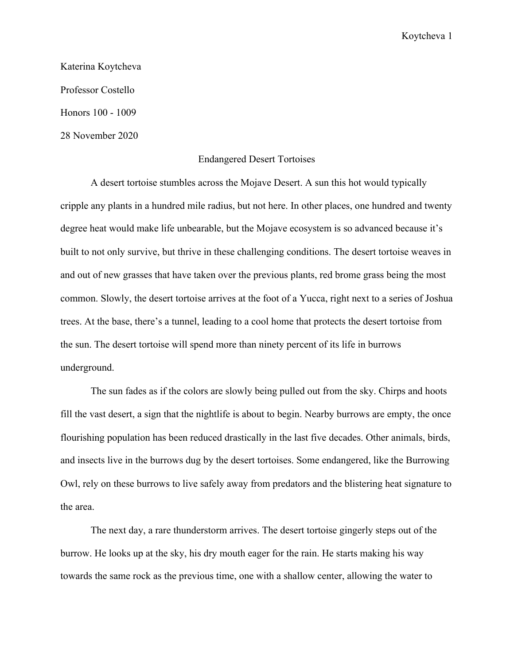Katerina Koytcheva Professor Costello Honors 100 - 1009 28 November 2020

## Endangered Desert Tortoises

A desert tortoise stumbles across the Mojave Desert. A sun this hot would typically cripple any plants in a hundred mile radius, but not here. In other places, one hundred and twenty degree heat would make life unbearable, but the Mojave ecosystem is so advanced because it's built to not only survive, but thrive in these challenging conditions. The desert tortoise weaves in and out of new grasses that have taken over the previous plants, red brome grass being the most common. Slowly, the desert tortoise arrives at the foot of a Yucca, right next to a series of Joshua trees. At the base, there's a tunnel, leading to a cool home that protects the desert tortoise from the sun. The desert tortoise will spend more than ninety percent of its life in burrows underground.

The sun fades as if the colors are slowly being pulled out from the sky. Chirps and hoots fill the vast desert, a sign that the nightlife is about to begin. Nearby burrows are empty, the once flourishing population has been reduced drastically in the last five decades. Other animals, birds, and insects live in the burrows dug by the desert tortoises. Some endangered, like the Burrowing Owl, rely on these burrows to live safely away from predators and the blistering heat signature to the area.

The next day, a rare thunderstorm arrives. The desert tortoise gingerly steps out of the burrow. He looks up at the sky, his dry mouth eager for the rain. He starts making his way towards the same rock as the previous time, one with a shallow center, allowing the water to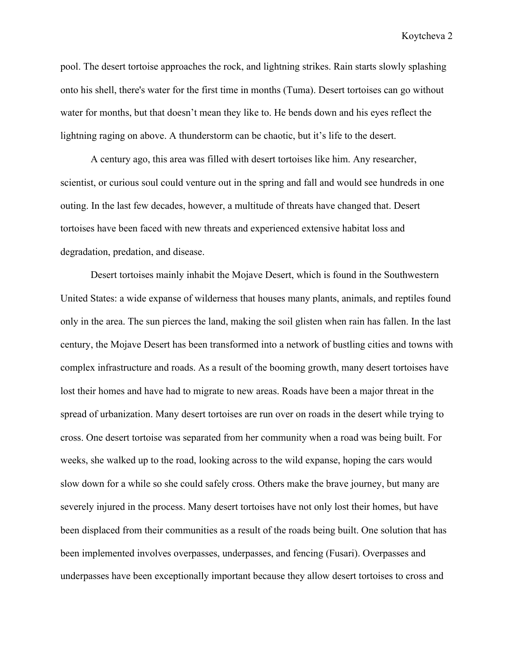pool. The desert tortoise approaches the rock, and lightning strikes. Rain starts slowly splashing onto his shell, there's water for the first time in months (Tuma). Desert tortoises can go without water for months, but that doesn't mean they like to. He bends down and his eyes reflect the lightning raging on above. A thunderstorm can be chaotic, but it's life to the desert.

A century ago, this area was filled with desert tortoises like him. Any researcher, scientist, or curious soul could venture out in the spring and fall and would see hundreds in one outing. In the last few decades, however, a multitude of threats have changed that. Desert tortoises have been faced with new threats and experienced extensive habitat loss and degradation, predation, and disease.

Desert tortoises mainly inhabit the Mojave Desert, which is found in the Southwestern United States: a wide expanse of wilderness that houses many plants, animals, and reptiles found only in the area. The sun pierces the land, making the soil glisten when rain has fallen. In the last century, the Mojave Desert has been transformed into a network of bustling cities and towns with complex infrastructure and roads. As a result of the booming growth, many desert tortoises have lost their homes and have had to migrate to new areas. Roads have been a major threat in the spread of urbanization. Many desert tortoises are run over on roads in the desert while trying to cross. One desert tortoise was separated from her community when a road was being built. For weeks, she walked up to the road, looking across to the wild expanse, hoping the cars would slow down for a while so she could safely cross. Others make the brave journey, but many are severely injured in the process. Many desert tortoises have not only lost their homes, but have been displaced from their communities as a result of the roads being built. One solution that has been implemented involves overpasses, underpasses, and fencing (Fusari). Overpasses and underpasses have been exceptionally important because they allow desert tortoises to cross and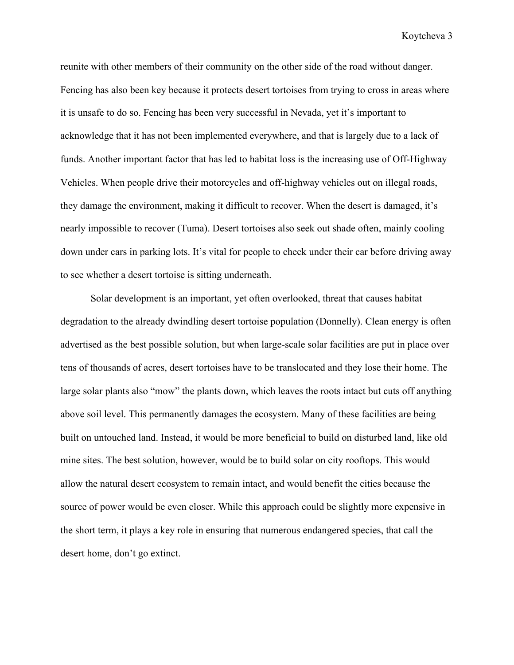reunite with other members of their community on the other side of the road without danger. Fencing has also been key because it protects desert tortoises from trying to cross in areas where it is unsafe to do so. Fencing has been very successful in Nevada, yet it's important to acknowledge that it has not been implemented everywhere, and that is largely due to a lack of funds. Another important factor that has led to habitat loss is the increasing use of Off-Highway Vehicles. When people drive their motorcycles and off-highway vehicles out on illegal roads, they damage the environment, making it difficult to recover. When the desert is damaged, it's nearly impossible to recover (Tuma). Desert tortoises also seek out shade often, mainly cooling down under cars in parking lots. It's vital for people to check under their car before driving away to see whether a desert tortoise is sitting underneath.

Solar development is an important, yet often overlooked, threat that causes habitat degradation to the already dwindling desert tortoise population (Donnelly). Clean energy is often advertised as the best possible solution, but when large-scale solar facilities are put in place over tens of thousands of acres, desert tortoises have to be translocated and they lose their home. The large solar plants also "mow" the plants down, which leaves the roots intact but cuts off anything above soil level. This permanently damages the ecosystem. Many of these facilities are being built on untouched land. Instead, it would be more beneficial to build on disturbed land, like old mine sites. The best solution, however, would be to build solar on city rooftops. This would allow the natural desert ecosystem to remain intact, and would benefit the cities because the source of power would be even closer. While this approach could be slightly more expensive in the short term, it plays a key role in ensuring that numerous endangered species, that call the desert home, don't go extinct.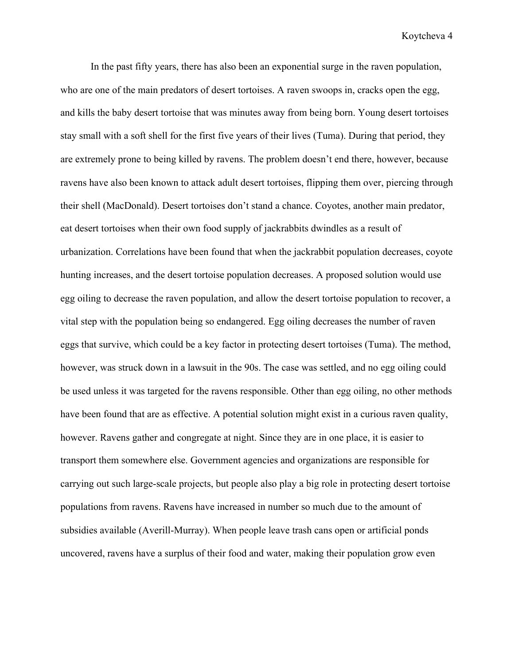In the past fifty years, there has also been an exponential surge in the raven population, who are one of the main predators of desert tortoises. A raven swoops in, cracks open the egg, and kills the baby desert tortoise that was minutes away from being born. Young desert tortoises stay small with a soft shell for the first five years of their lives (Tuma). During that period, they are extremely prone to being killed by ravens. The problem doesn't end there, however, because ravens have also been known to attack adult desert tortoises, flipping them over, piercing through their shell (MacDonald). Desert tortoises don't stand a chance. Coyotes, another main predator, eat desert tortoises when their own food supply of jackrabbits dwindles as a result of urbanization. Correlations have been found that when the jackrabbit population decreases, coyote hunting increases, and the desert tortoise population decreases. A proposed solution would use egg oiling to decrease the raven population, and allow the desert tortoise population to recover, a vital step with the population being so endangered. Egg oiling decreases the number of raven eggs that survive, which could be a key factor in protecting desert tortoises (Tuma). The method, however, was struck down in a lawsuit in the 90s. The case was settled, and no egg oiling could be used unless it was targeted for the ravens responsible. Other than egg oiling, no other methods have been found that are as effective. A potential solution might exist in a curious raven quality, however. Ravens gather and congregate at night. Since they are in one place, it is easier to transport them somewhere else. Government agencies and organizations are responsible for carrying out such large-scale projects, but people also play a big role in protecting desert tortoise populations from ravens. Ravens have increased in number so much due to the amount of subsidies available (Averill-Murray). When people leave trash cans open or artificial ponds uncovered, ravens have a surplus of their food and water, making their population grow even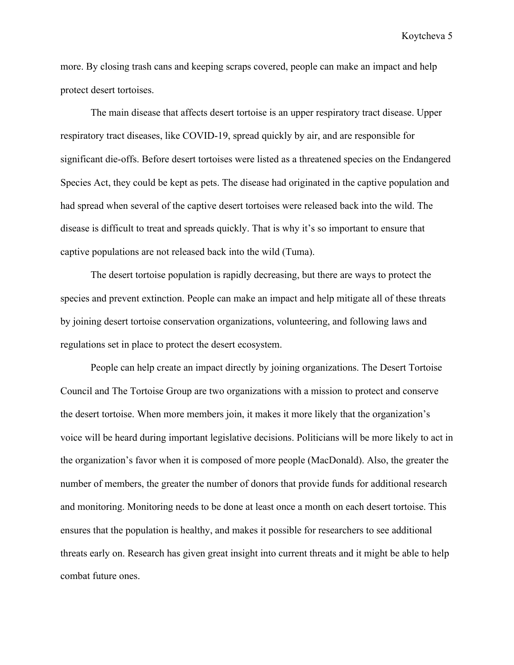more. By closing trash cans and keeping scraps covered, people can make an impact and help protect desert tortoises.

The main disease that affects desert tortoise is an upper respiratory tract disease. Upper respiratory tract diseases, like COVID-19, spread quickly by air, and are responsible for significant die-offs. Before desert tortoises were listed as a threatened species on the Endangered Species Act, they could be kept as pets. The disease had originated in the captive population and had spread when several of the captive desert tortoises were released back into the wild. The disease is difficult to treat and spreads quickly. That is why it's so important to ensure that captive populations are not released back into the wild (Tuma).

The desert tortoise population is rapidly decreasing, but there are ways to protect the species and prevent extinction. People can make an impact and help mitigate all of these threats by joining desert tortoise conservation organizations, volunteering, and following laws and regulations set in place to protect the desert ecosystem.

People can help create an impact directly by joining organizations. The Desert Tortoise Council and The Tortoise Group are two organizations with a mission to protect and conserve the desert tortoise. When more members join, it makes it more likely that the organization's voice will be heard during important legislative decisions. Politicians will be more likely to act in the organization's favor when it is composed of more people (MacDonald). Also, the greater the number of members, the greater the number of donors that provide funds for additional research and monitoring. Monitoring needs to be done at least once a month on each desert tortoise. This ensures that the population is healthy, and makes it possible for researchers to see additional threats early on. Research has given great insight into current threats and it might be able to help combat future ones.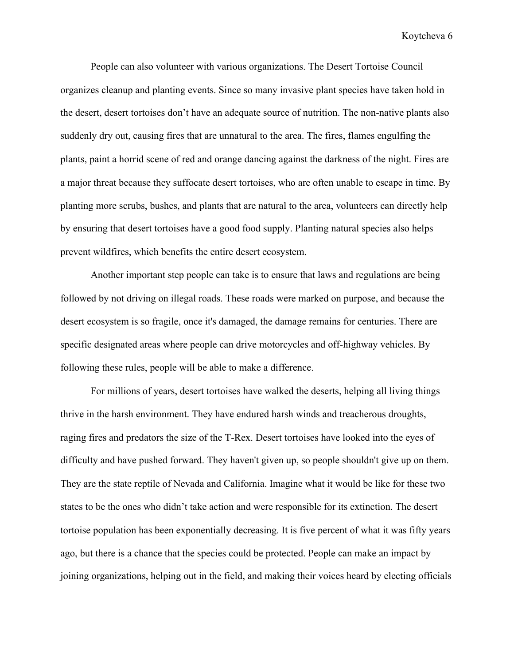People can also volunteer with various organizations. The Desert Tortoise Council organizes cleanup and planting events. Since so many invasive plant species have taken hold in the desert, desert tortoises don't have an adequate source of nutrition. The non-native plants also suddenly dry out, causing fires that are unnatural to the area. The fires, flames engulfing the plants, paint a horrid scene of red and orange dancing against the darkness of the night. Fires are a major threat because they suffocate desert tortoises, who are often unable to escape in time. By planting more scrubs, bushes, and plants that are natural to the area, volunteers can directly help by ensuring that desert tortoises have a good food supply. Planting natural species also helps prevent wildfires, which benefits the entire desert ecosystem.

Another important step people can take is to ensure that laws and regulations are being followed by not driving on illegal roads. These roads were marked on purpose, and because the desert ecosystem is so fragile, once it's damaged, the damage remains for centuries. There are specific designated areas where people can drive motorcycles and off-highway vehicles. By following these rules, people will be able to make a difference.

For millions of years, desert tortoises have walked the deserts, helping all living things thrive in the harsh environment. They have endured harsh winds and treacherous droughts, raging fires and predators the size of the T-Rex. Desert tortoises have looked into the eyes of difficulty and have pushed forward. They haven't given up, so people shouldn't give up on them. They are the state reptile of Nevada and California. Imagine what it would be like for these two states to be the ones who didn't take action and were responsible for its extinction. The desert tortoise population has been exponentially decreasing. It is five percent of what it was fifty years ago, but there is a chance that the species could be protected. People can make an impact by joining organizations, helping out in the field, and making their voices heard by electing officials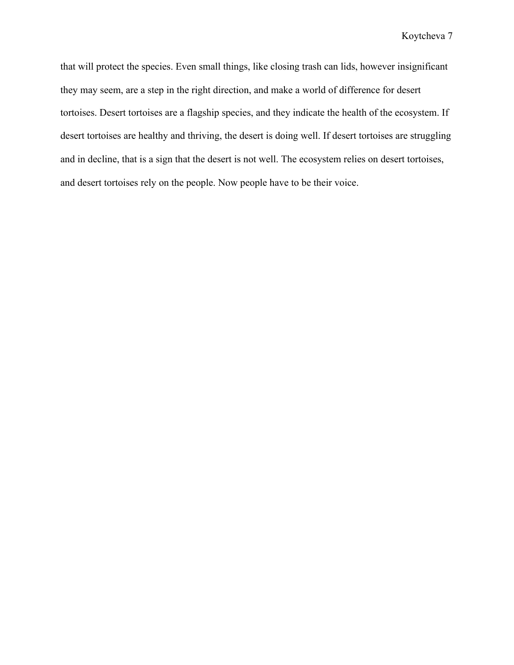that will protect the species. Even small things, like closing trash can lids, however insignificant they may seem, are a step in the right direction, and make a world of difference for desert tortoises. Desert tortoises are a flagship species, and they indicate the health of the ecosystem. If desert tortoises are healthy and thriving, the desert is doing well. If desert tortoises are struggling and in decline, that is a sign that the desert is not well. The ecosystem relies on desert tortoises, and desert tortoises rely on the people. Now people have to be their voice.